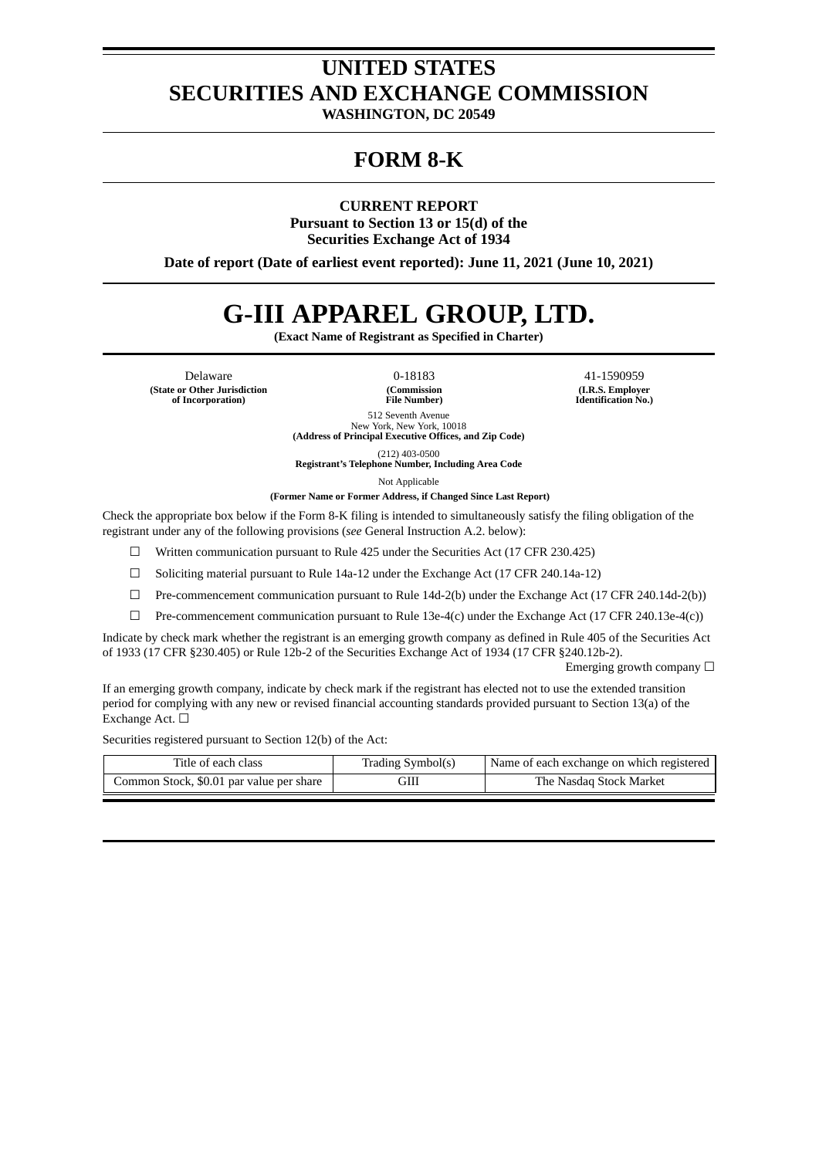# **UNITED STATES SECURITIES AND EXCHANGE COMMISSION**

**WASHINGTON, DC 20549**

# **FORM 8-K**

**CURRENT REPORT**

**Pursuant to Section 13 or 15(d) of the Securities Exchange Act of 1934**

**Date of report (Date of earliest event reported): June 11, 2021 (June 10, 2021)**

# **G-III APPAREL GROUP, LTD.**

**(Exact Name of Registrant as Specified in Charter)**

Delaware 0-18183 41-1590959 **(State or Other Jurisdiction of Incorporation)**

**(Commission File Number)**

**(I.R.S. Employer Identification No.)**

512 Seventh Avenue New York, New York, 10018 **(Address of Principal Executive Offices, and Zip Code)**

(212) 403-0500 **Registrant's Telephone Number, Including Area Code**

Not Applicable

**(Former Name or Former Address, if Changed Since Last Report)**

Check the appropriate box below if the Form 8-K filing is intended to simultaneously satisfy the filing obligation of the registrant under any of the following provisions (*see* General Instruction A.2. below):

☐ Written communication pursuant to Rule 425 under the Securities Act (17 CFR 230.425)

 $\Box$  Soliciting material pursuant to Rule 14a-12 under the Exchange Act (17 CFR 240.14a-12)

 $\Box$  Pre-commencement communication pursuant to Rule 14d-2(b) under the Exchange Act (17 CFR 240.14d-2(b))

 $\Box$  Pre-commencement communication pursuant to Rule 13e-4(c) under the Exchange Act (17 CFR 240.13e-4(c))

Indicate by check mark whether the registrant is an emerging growth company as defined in Rule 405 of the Securities Act of 1933 (17 CFR §230.405) or Rule 12b-2 of the Securities Exchange Act of 1934 (17 CFR §240.12b-2).

Emerging growth company  $\Box$ 

If an emerging growth company, indicate by check mark if the registrant has elected not to use the extended transition period for complying with any new or revised financial accounting standards provided pursuant to Section 13(a) of the Exchange Act. □

Securities registered pursuant to Section 12(b) of the Act:

| Title of each class                      | Trading Symbol(s) | Name of each exchange on which registered |
|------------------------------------------|-------------------|-------------------------------------------|
| Common Stock, \$0.01 par value per share | GIII              | The Nasdaq Stock Market                   |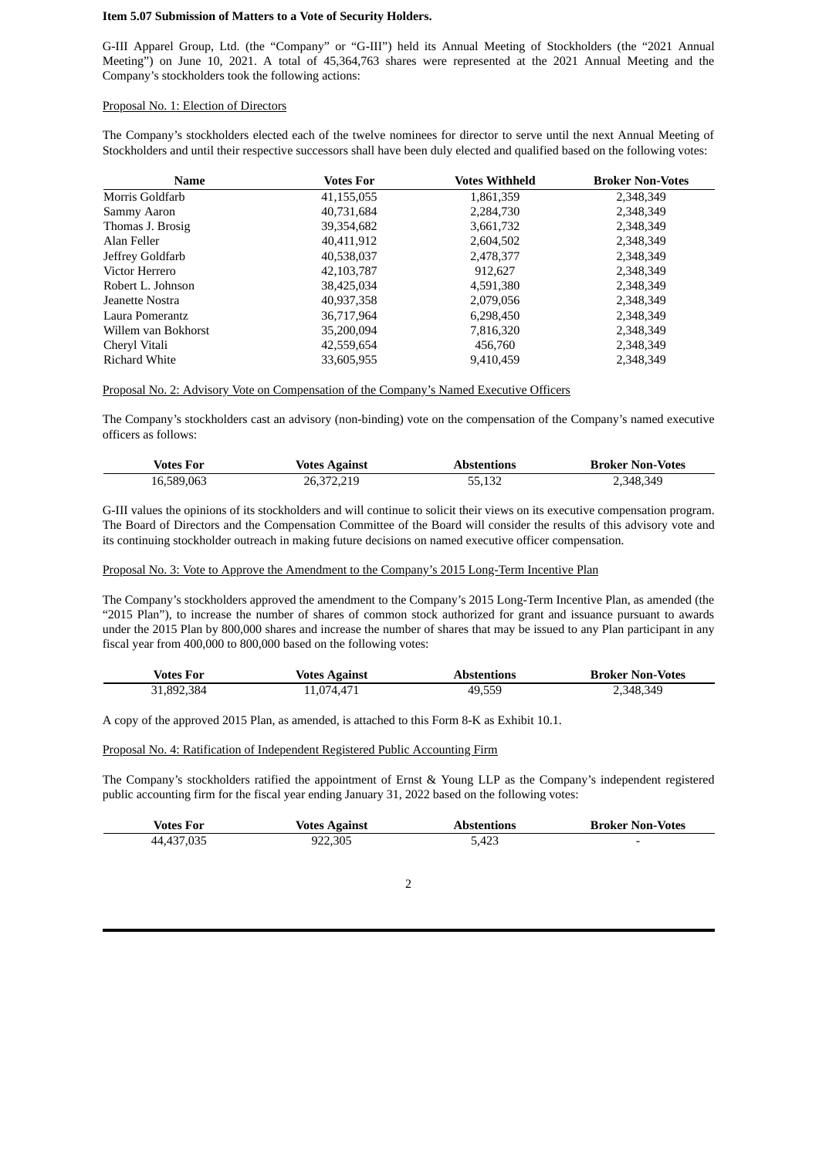#### **Item 5.07 Submission of Matters to a Vote of Security Holders.**

G-III Apparel Group, Ltd. (the "Company" or "G-III") held its Annual Meeting of Stockholders (the "2021 Annual Meeting") on June 10, 2021. A total of 45,364,763 shares were represented at the 2021 Annual Meeting and the Company's stockholders took the following actions:

#### Proposal No. 1: Election of Directors

The Company's stockholders elected each of the twelve nominees for director to serve until the next Annual Meeting of Stockholders and until their respective successors shall have been duly elected and qualified based on the following votes:

| <b>Name</b>          | <b>Votes For</b> | <b>Votes Withheld</b> | <b>Broker Non-Votes</b> |
|----------------------|------------------|-----------------------|-------------------------|
| Morris Goldfarb      | 41,155,055       | 1,861,359             | 2,348,349               |
| Sammy Aaron          | 40,731,684       | 2,284,730             | 2,348,349               |
| Thomas J. Brosig     | 39,354,682       | 3,661,732             | 2,348,349               |
| Alan Feller          | 40,411,912       | 2,604,502             | 2,348,349               |
| Jeffrey Goldfarb     | 40,538,037       | 2,478,377             | 2,348,349               |
| Victor Herrero       | 42, 103, 787     | 912,627               | 2,348,349               |
| Robert L. Johnson    | 38,425,034       | 4,591,380             | 2,348,349               |
| Jeanette Nostra      | 40,937,358       | 2,079,056             | 2,348,349               |
| Laura Pomerantz      | 36,717,964       | 6,298,450             | 2,348,349               |
| Willem van Bokhorst  | 35,200,094       | 7,816,320             | 2,348,349               |
| Cheryl Vitali        | 42,559,654       | 456,760               | 2,348,349               |
| <b>Richard White</b> | 33,605,955       | 9,410,459             | 2,348,349               |

#### Proposal No. 2: Advisory Vote on Compensation of the Company's Named Executive Officers

The Company's stockholders cast an advisory (non-binding) vote on the compensation of the Company's named executive officers as follows:

| Votes For  | <b>Votes Against</b> | Abstentions | <b>Broker Non-Votes</b> |
|------------|----------------------|-------------|-------------------------|
| 16,589,063 | 26,372,219           | 55,132      | 2,348,349               |

G-III values the opinions of its stockholders and will continue to solicit their views on its executive compensation program. The Board of Directors and the Compensation Committee of the Board will consider the results of this advisory vote and its continuing stockholder outreach in making future decisions on named executive officer compensation.

#### Proposal No. 3: Vote to Approve the Amendment to the Company's 2015 Long-Term Incentive Plan

The Company's stockholders approved the amendment to the Company's 2015 Long-Term Incentive Plan, as amended (the "2015 Plan"), to increase the number of shares of common stock authorized for grant and issuance pursuant to awards under the 2015 Plan by 800,000 shares and increase the number of shares that may be issued to any Plan participant in any fiscal year from 400,000 to 800,000 based on the following votes:

| <b>Votes For</b> | <b>Votes Against</b> | Abstentions | <b>Broker Non-Votes</b> |
|------------------|----------------------|-------------|-------------------------|
| 31,892,384       | 1,074,471            | 49,559      | 2,348,349               |

A copy of the approved 2015 Plan, as amended, is attached to this Form 8-K as Exhibit 10.1.

#### Proposal No. 4: Ratification of Independent Registered Public Accounting Firm

The Company's stockholders ratified the appointment of Ernst & Young LLP as the Company's independent registered public accounting firm for the fiscal year ending January 31, 2022 based on the following votes:

| Votes For  | <b>Votes Against</b> | <b>Abstentions</b> | <b>Broker Non-Votes</b> |
|------------|----------------------|--------------------|-------------------------|
| 44,437,035 | 922,305              | 5.423              |                         |

#### 2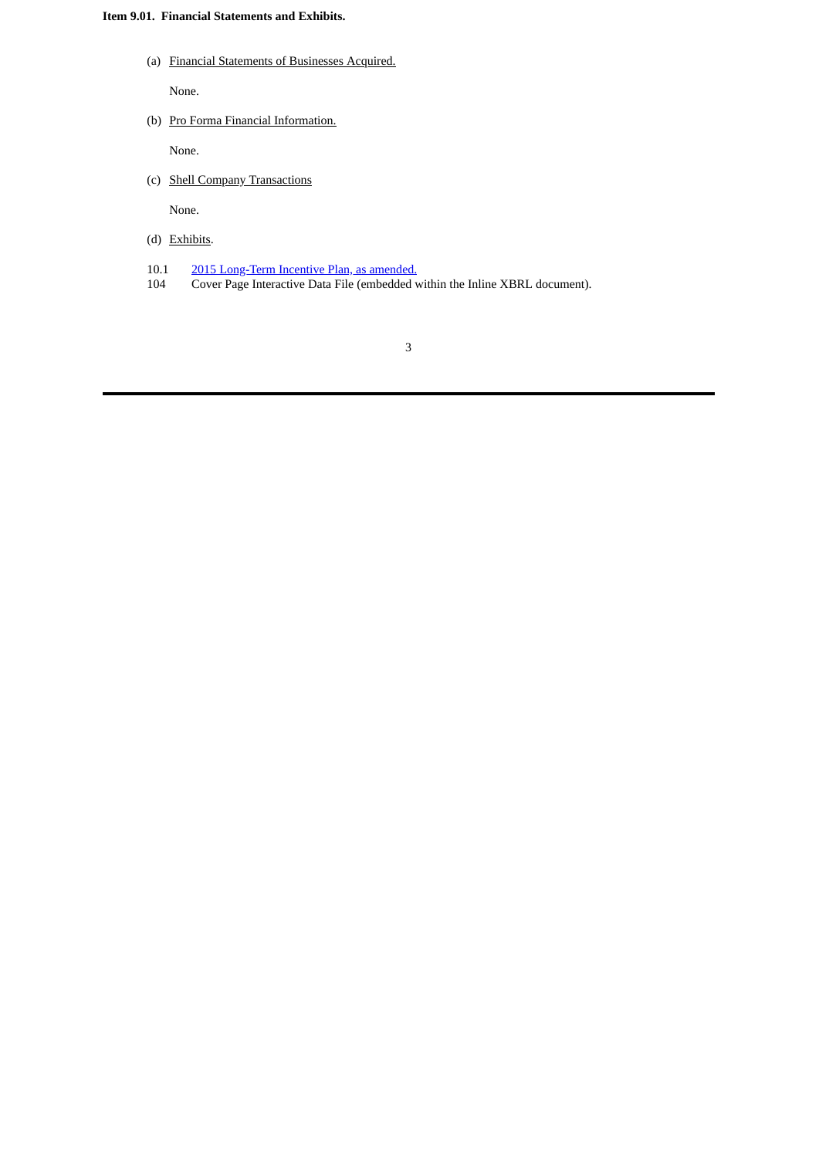### **Item 9.01. Financial Statements and Exhibits.**

(a) Financial Statements of Businesses Acquired.

None.

(b) Pro Forma Financial Information.

None.

(c) Shell Company Transactions

None.

- (d) Exhibits.
- 10.1 2015 [Long-Term](#page-5-0) Incentive Plan, as amended.
- 104 Cover Page Interactive Data File (embedded within the Inline XBRL document).

3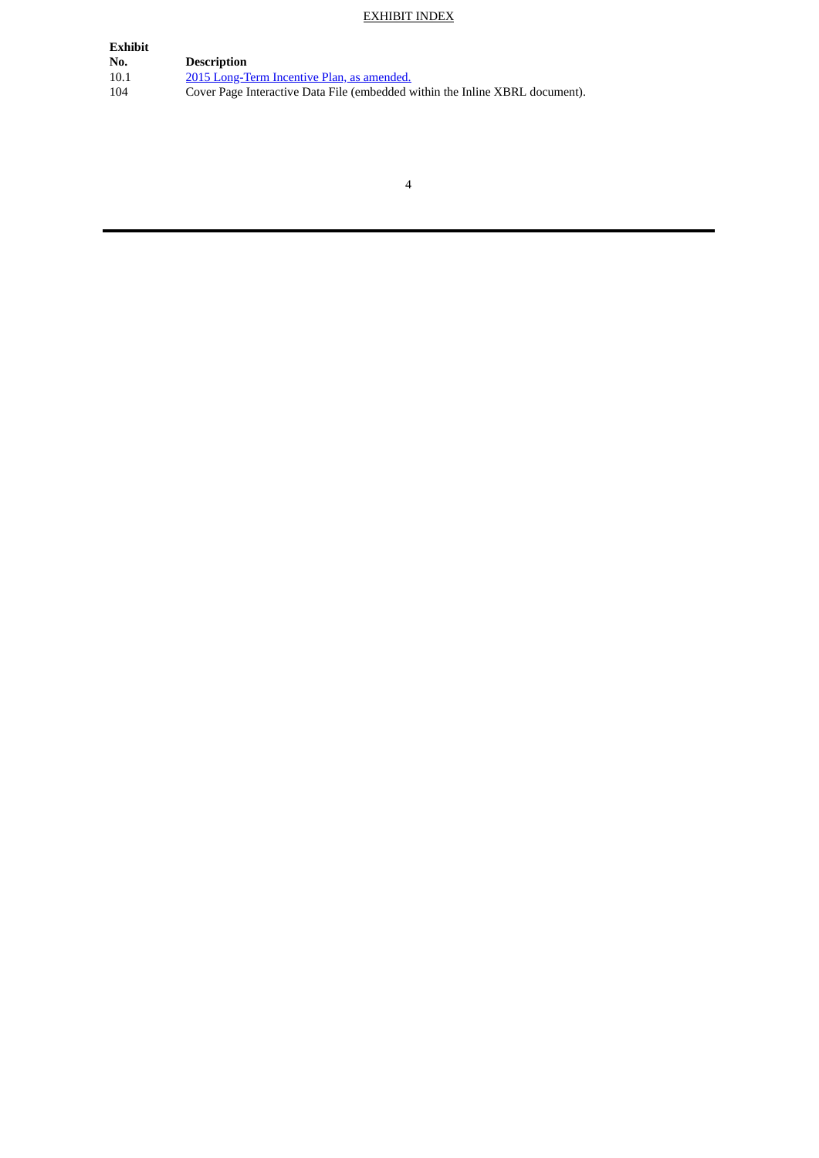# EXHIBIT INDEX

| <b>Exhibit</b> |                                                                              |
|----------------|------------------------------------------------------------------------------|
| No.            | <b>Description</b>                                                           |
| 10.1           | 2015 Long-Term Incentive Plan, as amended.                                   |
| 104            | Cover Page Interactive Data File (embedded within the Inline XBRL document). |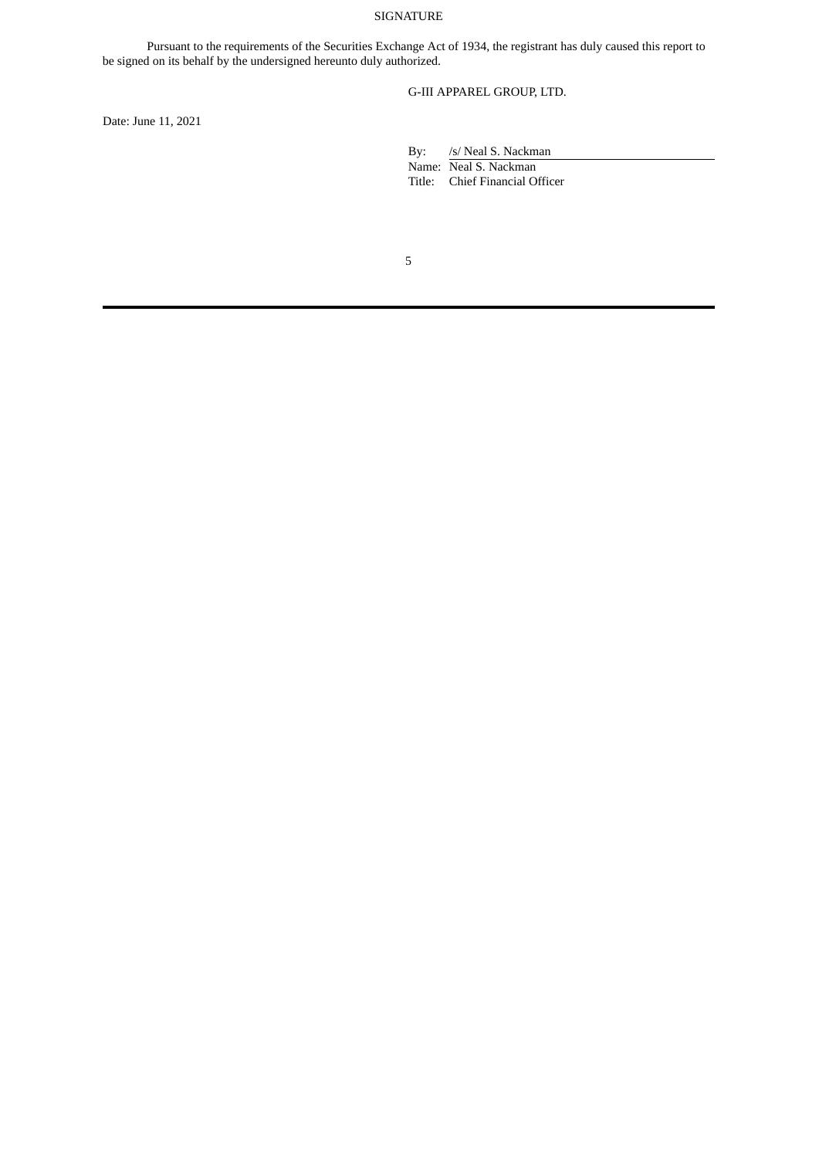#### SIGNATURE

Pursuant to the requirements of the Securities Exchange Act of 1934, the registrant has duly caused this report to be signed on its behalf by the undersigned hereunto duly authorized.

G-III APPAREL GROUP, LTD.

Date: June 11, 2021

By: /s/ Neal S. Nackman Name: Neal S. Nackman

Title: Chief Financial Officer

5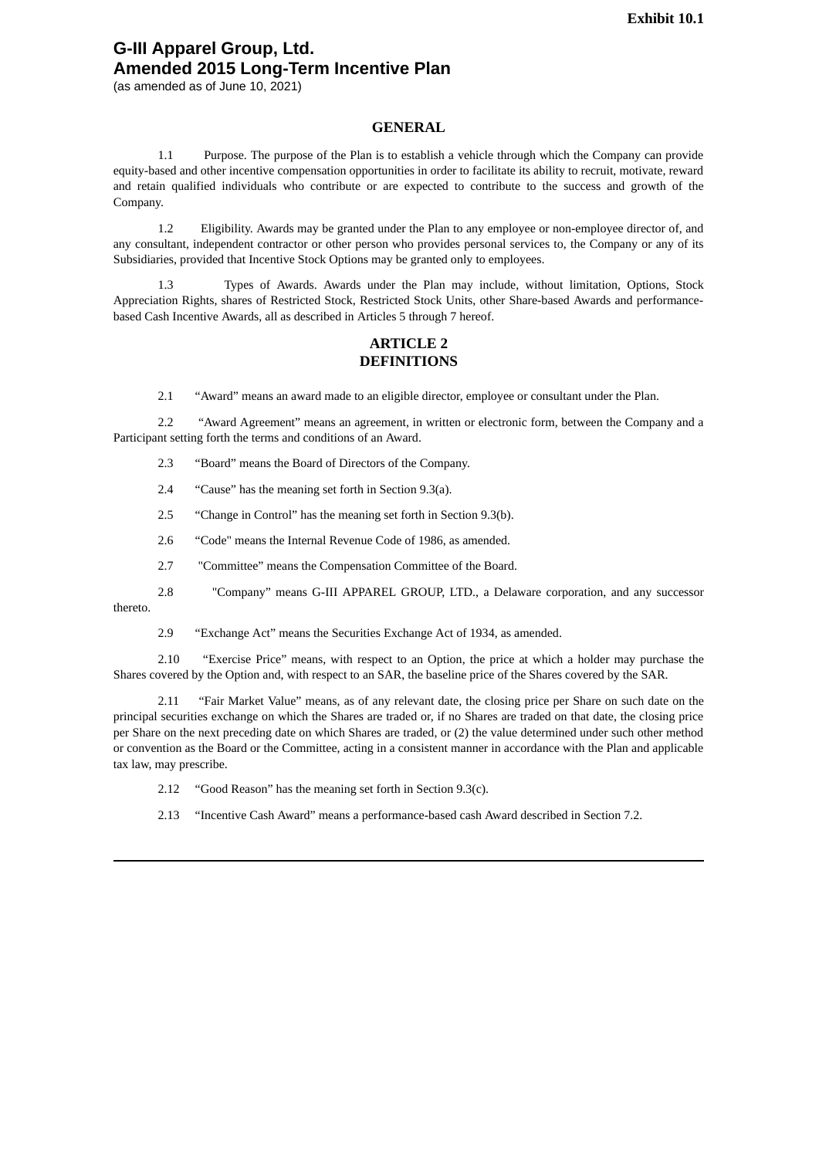# <span id="page-5-0"></span>**G-III Apparel Group, Ltd. Amended 2015 Long-Term Incentive Plan**

(as amended as of June 10, 2021)

#### **GENERAL**

1.1 Purpose. The purpose of the Plan is to establish a vehicle through which the Company can provide equity-based and other incentive compensation opportunities in order to facilitate its ability to recruit, motivate, reward and retain qualified individuals who contribute or are expected to contribute to the success and growth of the Company.

1.2 Eligibility. Awards may be granted under the Plan to any employee or non-employee director of, and any consultant, independent contractor or other person who provides personal services to, the Company or any of its Subsidiaries, provided that Incentive Stock Options may be granted only to employees.

1.3 Types of Awards. Awards under the Plan may include, without limitation, Options, Stock Appreciation Rights, shares of Restricted Stock, Restricted Stock Units, other Share-based Awards and performancebased Cash Incentive Awards, all as described in Articles 5 through 7 hereof.

# **ARTICLE 2 DEFINITIONS**

2.1 "Award" means an award made to an eligible director, employee or consultant under the Plan.

2.2 "Award Agreement" means an agreement, in written or electronic form, between the Company and a Participant setting forth the terms and conditions of an Award.

- 2.3 "Board" means the Board of Directors of the Company.
- 2.4 "Cause" has the meaning set forth in Section 9.3(a).
- 2.5 "Change in Control" has the meaning set forth in Section 9.3(b).
- 2.6 "Code" means the Internal Revenue Code of 1986, as amended.
- 2.7 "Committee" means the Compensation Committee of the Board.
- 2.8 "Company" means G-III APPAREL GROUP, LTD., a Delaware corporation, and any successor

thereto.

2.9 "Exchange Act" means the Securities Exchange Act of 1934, as amended.

2.10 "Exercise Price" means, with respect to an Option, the price at which a holder may purchase the Shares covered by the Option and, with respect to an SAR, the baseline price of the Shares covered by the SAR.

2.11 "Fair Market Value" means, as of any relevant date, the closing price per Share on such date on the principal securities exchange on which the Shares are traded or, if no Shares are traded on that date, the closing price per Share on the next preceding date on which Shares are traded, or (2) the value determined under such other method or convention as the Board or the Committee, acting in a consistent manner in accordance with the Plan and applicable tax law, may prescribe.

- 2.12 "Good Reason" has the meaning set forth in Section 9.3(c).
- 2.13 "Incentive Cash Award" means a performance-based cash Award described in Section 7.2.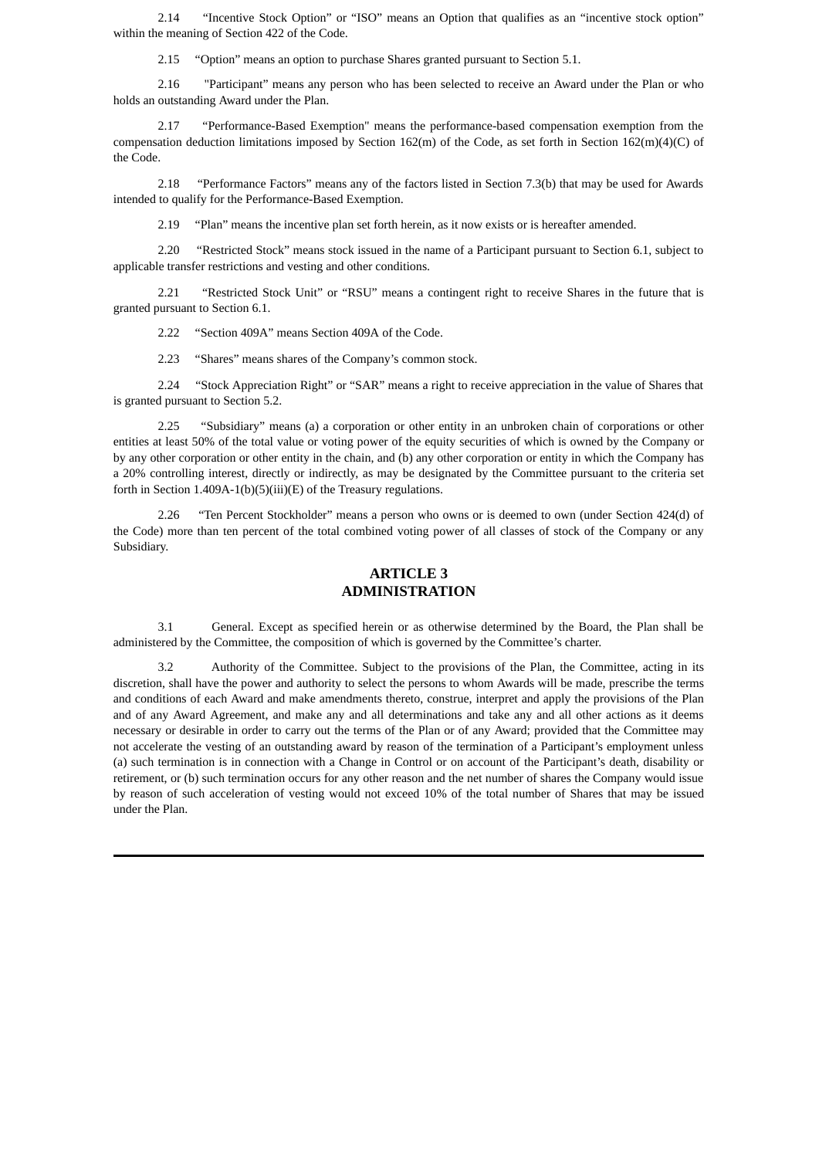2.14 "Incentive Stock Option" or "ISO" means an Option that qualifies as an "incentive stock option" within the meaning of Section 422 of the Code.

2.15 "Option" means an option to purchase Shares granted pursuant to Section 5.1.

2.16 "Participant" means any person who has been selected to receive an Award under the Plan or who holds an outstanding Award under the Plan.

2.17 "Performance-Based Exemption" means the performance-based compensation exemption from the compensation deduction limitations imposed by Section 162(m) of the Code, as set forth in Section 162(m)(4)(C) of the Code.

2.18 "Performance Factors" means any of the factors listed in Section 7.3(b) that may be used for Awards intended to qualify for the Performance-Based Exemption.

2.19 "Plan" means the incentive plan set forth herein, as it now exists or is hereafter amended.

2.20 "Restricted Stock" means stock issued in the name of a Participant pursuant to Section 6.1, subject to applicable transfer restrictions and vesting and other conditions.

2.21 "Restricted Stock Unit" or "RSU" means a contingent right to receive Shares in the future that is granted pursuant to Section 6.1.

2.22 "Section 409A" means Section 409A of the Code.

2.23 "Shares" means shares of the Company's common stock.

2.24 "Stock Appreciation Right" or "SAR" means a right to receive appreciation in the value of Shares that is granted pursuant to Section 5.2.

2.25 "Subsidiary" means (a) a corporation or other entity in an unbroken chain of corporations or other entities at least 50% of the total value or voting power of the equity securities of which is owned by the Company or by any other corporation or other entity in the chain, and (b) any other corporation or entity in which the Company has a 20% controlling interest, directly or indirectly, as may be designated by the Committee pursuant to the criteria set forth in Section 1.409A-1(b)(5)(iii)(E) of the Treasury regulations.

2.26 "Ten Percent Stockholder" means a person who owns or is deemed to own (under Section 424(d) of the Code) more than ten percent of the total combined voting power of all classes of stock of the Company or any Subsidiary.

### **ARTICLE 3 ADMINISTRATION**

3.1 General. Except as specified herein or as otherwise determined by the Board, the Plan shall be administered by the Committee, the composition of which is governed by the Committee's charter.

3.2 Authority of the Committee. Subject to the provisions of the Plan, the Committee, acting in its discretion, shall have the power and authority to select the persons to whom Awards will be made, prescribe the terms and conditions of each Award and make amendments thereto, construe, interpret and apply the provisions of the Plan and of any Award Agreement, and make any and all determinations and take any and all other actions as it deems necessary or desirable in order to carry out the terms of the Plan or of any Award; provided that the Committee may not accelerate the vesting of an outstanding award by reason of the termination of a Participant's employment unless (a) such termination is in connection with a Change in Control or on account of the Participant's death, disability or retirement, or (b) such termination occurs for any other reason and the net number of shares the Company would issue by reason of such acceleration of vesting would not exceed 10% of the total number of Shares that may be issued under the Plan.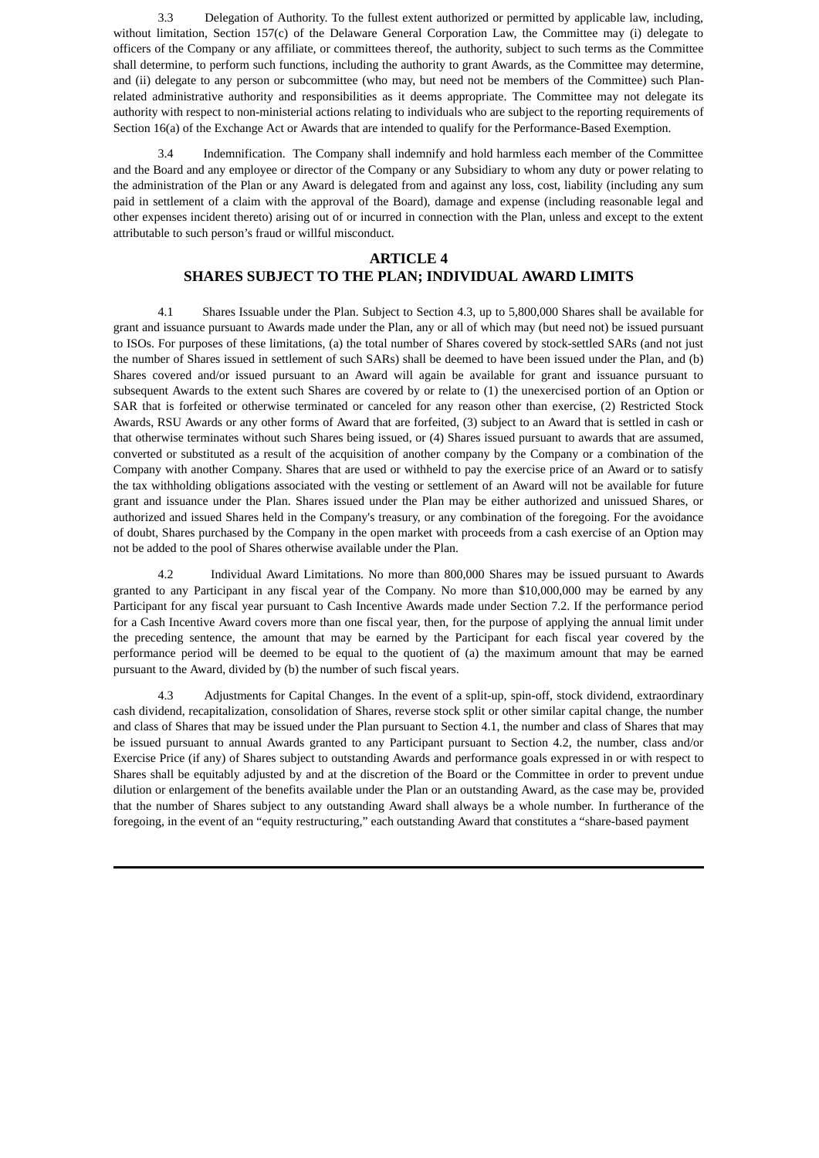3.3 Delegation of Authority. To the fullest extent authorized or permitted by applicable law, including, without limitation, Section 157(c) of the Delaware General Corporation Law, the Committee may (i) delegate to officers of the Company or any affiliate, or committees thereof, the authority, subject to such terms as the Committee shall determine, to perform such functions, including the authority to grant Awards, as the Committee may determine, and (ii) delegate to any person or subcommittee (who may, but need not be members of the Committee) such Planrelated administrative authority and responsibilities as it deems appropriate. The Committee may not delegate its authority with respect to non-ministerial actions relating to individuals who are subject to the reporting requirements of Section 16(a) of the Exchange Act or Awards that are intended to qualify for the Performance-Based Exemption.

3.4 Indemnification. The Company shall indemnify and hold harmless each member of the Committee and the Board and any employee or director of the Company or any Subsidiary to whom any duty or power relating to the administration of the Plan or any Award is delegated from and against any loss, cost, liability (including any sum paid in settlement of a claim with the approval of the Board), damage and expense (including reasonable legal and other expenses incident thereto) arising out of or incurred in connection with the Plan, unless and except to the extent attributable to such person's fraud or willful misconduct.

#### **ARTICLE 4**

# **SHARES SUBJECT TO THE PLAN; INDIVIDUAL AWARD LIMITS**

4.1 Shares Issuable under the Plan. Subject to Section 4.3, up to 5,800,000 Shares shall be available for grant and issuance pursuant to Awards made under the Plan, any or all of which may (but need not) be issued pursuant to ISOs. For purposes of these limitations, (a) the total number of Shares covered by stock-settled SARs (and not just the number of Shares issued in settlement of such SARs) shall be deemed to have been issued under the Plan, and (b) Shares covered and/or issued pursuant to an Award will again be available for grant and issuance pursuant to subsequent Awards to the extent such Shares are covered by or relate to (1) the unexercised portion of an Option or SAR that is forfeited or otherwise terminated or canceled for any reason other than exercise, (2) Restricted Stock Awards, RSU Awards or any other forms of Award that are forfeited, (3) subject to an Award that is settled in cash or that otherwise terminates without such Shares being issued, or (4) Shares issued pursuant to awards that are assumed, converted or substituted as a result of the acquisition of another company by the Company or a combination of the Company with another Company. Shares that are used or withheld to pay the exercise price of an Award or to satisfy the tax withholding obligations associated with the vesting or settlement of an Award will not be available for future grant and issuance under the Plan. Shares issued under the Plan may be either authorized and unissued Shares, or authorized and issued Shares held in the Company's treasury, or any combination of the foregoing. For the avoidance of doubt, Shares purchased by the Company in the open market with proceeds from a cash exercise of an Option may not be added to the pool of Shares otherwise available under the Plan.

4.2 Individual Award Limitations. No more than 800,000 Shares may be issued pursuant to Awards granted to any Participant in any fiscal year of the Company. No more than \$10,000,000 may be earned by any Participant for any fiscal year pursuant to Cash Incentive Awards made under Section 7.2. If the performance period for a Cash Incentive Award covers more than one fiscal year, then, for the purpose of applying the annual limit under the preceding sentence, the amount that may be earned by the Participant for each fiscal year covered by the performance period will be deemed to be equal to the quotient of (a) the maximum amount that may be earned pursuant to the Award, divided by (b) the number of such fiscal years.

4.3 Adjustments for Capital Changes. In the event of a split-up, spin-off, stock dividend, extraordinary cash dividend, recapitalization, consolidation of Shares, reverse stock split or other similar capital change, the number and class of Shares that may be issued under the Plan pursuant to Section 4.1, the number and class of Shares that may be issued pursuant to annual Awards granted to any Participant pursuant to Section 4.2, the number, class and/or Exercise Price (if any) of Shares subject to outstanding Awards and performance goals expressed in or with respect to Shares shall be equitably adjusted by and at the discretion of the Board or the Committee in order to prevent undue dilution or enlargement of the benefits available under the Plan or an outstanding Award, as the case may be, provided that the number of Shares subject to any outstanding Award shall always be a whole number. In furtherance of the foregoing, in the event of an "equity restructuring," each outstanding Award that constitutes a "share-based payment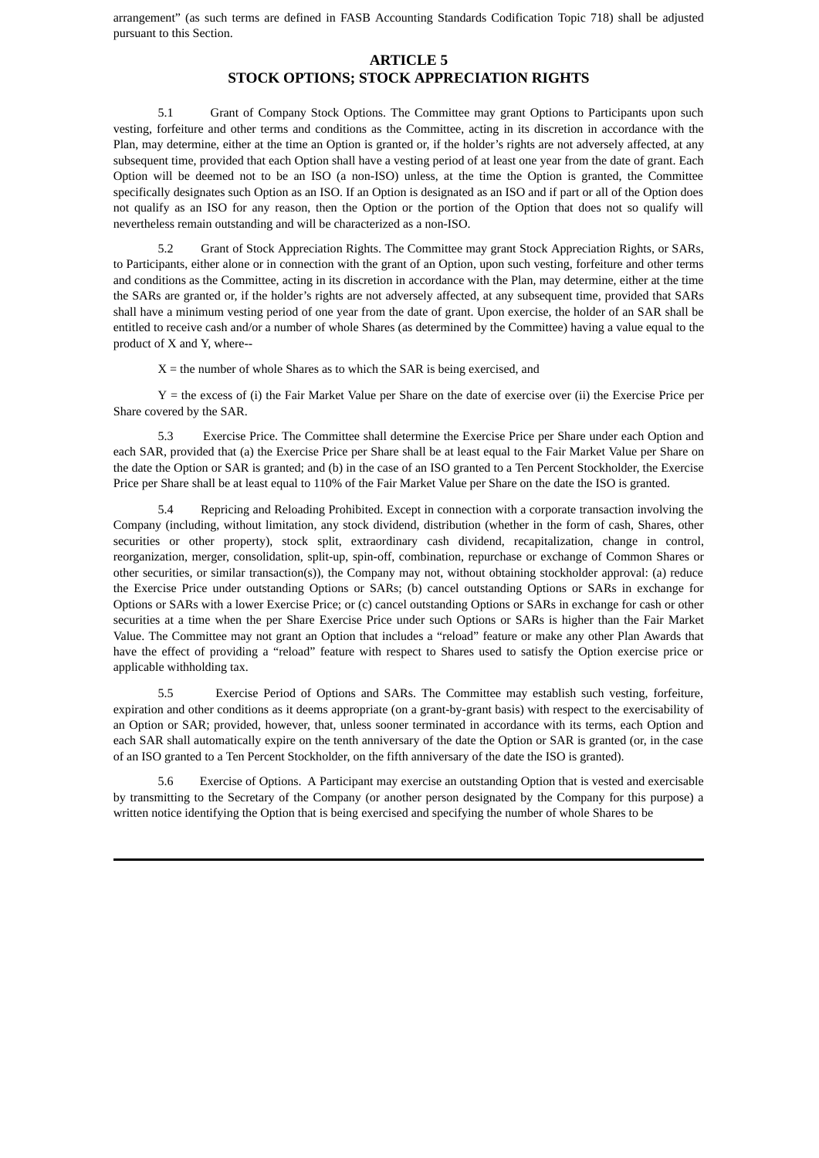arrangement" (as such terms are defined in FASB Accounting Standards Codification Topic 718) shall be adjusted pursuant to this Section.

#### **ARTICLE 5**

# **STOCK OPTIONS; STOCK APPRECIATION RIGHTS**

5.1 Grant of Company Stock Options. The Committee may grant Options to Participants upon such vesting, forfeiture and other terms and conditions as the Committee, acting in its discretion in accordance with the Plan, may determine, either at the time an Option is granted or, if the holder's rights are not adversely affected, at any subsequent time, provided that each Option shall have a vesting period of at least one year from the date of grant. Each Option will be deemed not to be an ISO (a non-ISO) unless, at the time the Option is granted, the Committee specifically designates such Option as an ISO. If an Option is designated as an ISO and if part or all of the Option does not qualify as an ISO for any reason, then the Option or the portion of the Option that does not so qualify will nevertheless remain outstanding and will be characterized as a non-ISO.

5.2 Grant of Stock Appreciation Rights. The Committee may grant Stock Appreciation Rights, or SARs, to Participants, either alone or in connection with the grant of an Option, upon such vesting, forfeiture and other terms and conditions as the Committee, acting in its discretion in accordance with the Plan, may determine, either at the time the SARs are granted or, if the holder's rights are not adversely affected, at any subsequent time, provided that SARs shall have a minimum vesting period of one year from the date of grant. Upon exercise, the holder of an SAR shall be entitled to receive cash and/or a number of whole Shares (as determined by the Committee) having a value equal to the product of X and Y, where--

 $X =$  the number of whole Shares as to which the SAR is being exercised, and

 $Y =$  the excess of (i) the Fair Market Value per Share on the date of exercise over (ii) the Exercise Price per Share covered by the SAR.

5.3 Exercise Price. The Committee shall determine the Exercise Price per Share under each Option and each SAR, provided that (a) the Exercise Price per Share shall be at least equal to the Fair Market Value per Share on the date the Option or SAR is granted; and (b) in the case of an ISO granted to a Ten Percent Stockholder, the Exercise Price per Share shall be at least equal to 110% of the Fair Market Value per Share on the date the ISO is granted.

5.4 Repricing and Reloading Prohibited. Except in connection with a corporate transaction involving the Company (including, without limitation, any stock dividend, distribution (whether in the form of cash, Shares, other securities or other property), stock split, extraordinary cash dividend, recapitalization, change in control, reorganization, merger, consolidation, split-up, spin-off, combination, repurchase or exchange of Common Shares or other securities, or similar transaction(s)), the Company may not, without obtaining stockholder approval: (a) reduce the Exercise Price under outstanding Options or SARs; (b) cancel outstanding Options or SARs in exchange for Options or SARs with a lower Exercise Price; or (c) cancel outstanding Options or SARs in exchange for cash or other securities at a time when the per Share Exercise Price under such Options or SARs is higher than the Fair Market Value. The Committee may not grant an Option that includes a "reload" feature or make any other Plan Awards that have the effect of providing a "reload" feature with respect to Shares used to satisfy the Option exercise price or applicable withholding tax.

5.5 Exercise Period of Options and SARs. The Committee may establish such vesting, forfeiture, expiration and other conditions as it deems appropriate (on a grant-by-grant basis) with respect to the exercisability of an Option or SAR; provided, however, that, unless sooner terminated in accordance with its terms, each Option and each SAR shall automatically expire on the tenth anniversary of the date the Option or SAR is granted (or, in the case of an ISO granted to a Ten Percent Stockholder, on the fifth anniversary of the date the ISO is granted).

5.6 Exercise of Options. A Participant may exercise an outstanding Option that is vested and exercisable by transmitting to the Secretary of the Company (or another person designated by the Company for this purpose) a written notice identifying the Option that is being exercised and specifying the number of whole Shares to be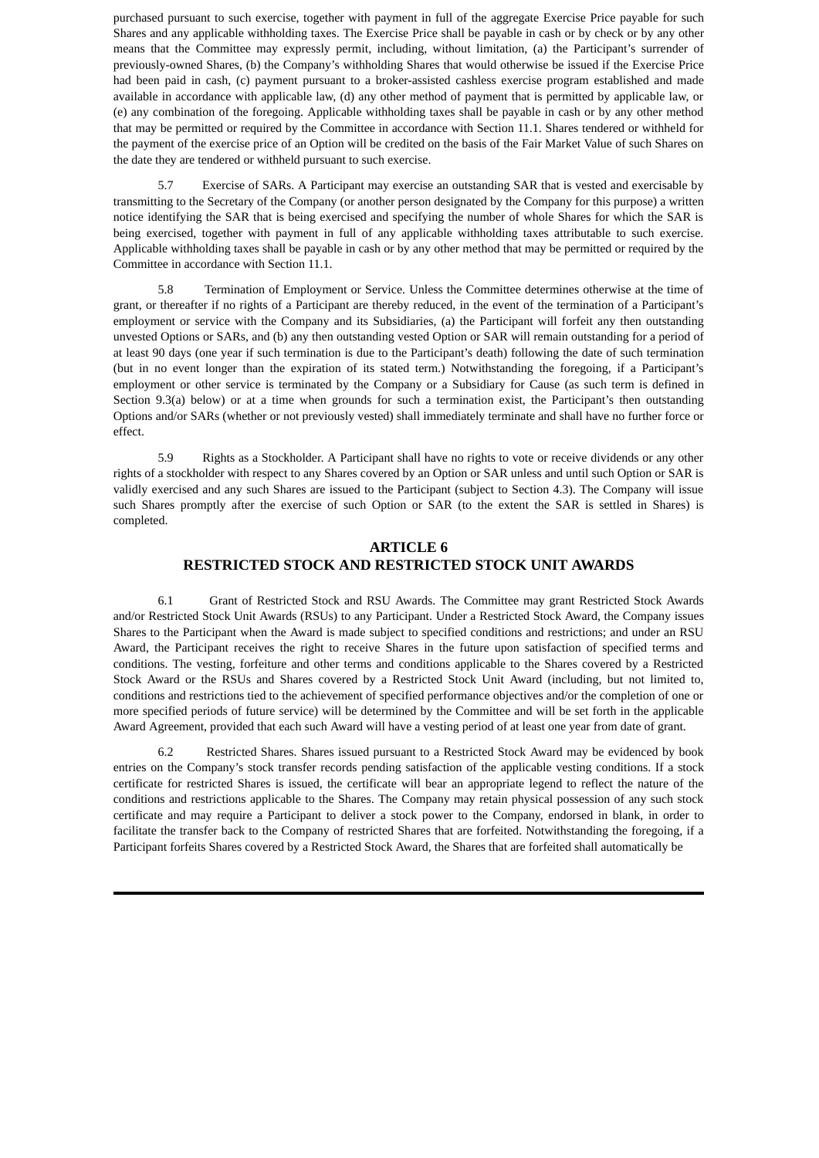purchased pursuant to such exercise, together with payment in full of the aggregate Exercise Price payable for such Shares and any applicable withholding taxes. The Exercise Price shall be payable in cash or by check or by any other means that the Committee may expressly permit, including, without limitation, (a) the Participant's surrender of previously-owned Shares, (b) the Company's withholding Shares that would otherwise be issued if the Exercise Price had been paid in cash, (c) payment pursuant to a broker-assisted cashless exercise program established and made available in accordance with applicable law, (d) any other method of payment that is permitted by applicable law, or (e) any combination of the foregoing. Applicable withholding taxes shall be payable in cash or by any other method that may be permitted or required by the Committee in accordance with Section 11.1. Shares tendered or withheld for the payment of the exercise price of an Option will be credited on the basis of the Fair Market Value of such Shares on the date they are tendered or withheld pursuant to such exercise.

5.7 Exercise of SARs. A Participant may exercise an outstanding SAR that is vested and exercisable by transmitting to the Secretary of the Company (or another person designated by the Company for this purpose) a written notice identifying the SAR that is being exercised and specifying the number of whole Shares for which the SAR is being exercised, together with payment in full of any applicable withholding taxes attributable to such exercise. Applicable withholding taxes shall be payable in cash or by any other method that may be permitted or required by the Committee in accordance with Section 11.1.

5.8 Termination of Employment or Service. Unless the Committee determines otherwise at the time of grant, or thereafter if no rights of a Participant are thereby reduced, in the event of the termination of a Participant's employment or service with the Company and its Subsidiaries, (a) the Participant will forfeit any then outstanding unvested Options or SARs, and (b) any then outstanding vested Option or SAR will remain outstanding for a period of at least 90 days (one year if such termination is due to the Participant's death) following the date of such termination (but in no event longer than the expiration of its stated term.) Notwithstanding the foregoing, if a Participant's employment or other service is terminated by the Company or a Subsidiary for Cause (as such term is defined in Section 9.3(a) below) or at a time when grounds for such a termination exist, the Participant's then outstanding Options and/or SARs (whether or not previously vested) shall immediately terminate and shall have no further force or effect.

5.9 Rights as a Stockholder. A Participant shall have no rights to vote or receive dividends or any other rights of a stockholder with respect to any Shares covered by an Option or SAR unless and until such Option or SAR is validly exercised and any such Shares are issued to the Participant (subject to Section 4.3). The Company will issue such Shares promptly after the exercise of such Option or SAR (to the extent the SAR is settled in Shares) is completed.

# **ARTICLE 6 RESTRICTED STOCK AND RESTRICTED STOCK UNIT AWARDS**

6.1 Grant of Restricted Stock and RSU Awards. The Committee may grant Restricted Stock Awards and/or Restricted Stock Unit Awards (RSUs) to any Participant. Under a Restricted Stock Award, the Company issues Shares to the Participant when the Award is made subject to specified conditions and restrictions; and under an RSU Award, the Participant receives the right to receive Shares in the future upon satisfaction of specified terms and conditions. The vesting, forfeiture and other terms and conditions applicable to the Shares covered by a Restricted Stock Award or the RSUs and Shares covered by a Restricted Stock Unit Award (including, but not limited to, conditions and restrictions tied to the achievement of specified performance objectives and/or the completion of one or more specified periods of future service) will be determined by the Committee and will be set forth in the applicable Award Agreement, provided that each such Award will have a vesting period of at least one year from date of grant.

6.2 Restricted Shares. Shares issued pursuant to a Restricted Stock Award may be evidenced by book entries on the Company's stock transfer records pending satisfaction of the applicable vesting conditions. If a stock certificate for restricted Shares is issued, the certificate will bear an appropriate legend to reflect the nature of the conditions and restrictions applicable to the Shares. The Company may retain physical possession of any such stock certificate and may require a Participant to deliver a stock power to the Company, endorsed in blank, in order to facilitate the transfer back to the Company of restricted Shares that are forfeited. Notwithstanding the foregoing, if a Participant forfeits Shares covered by a Restricted Stock Award, the Shares that are forfeited shall automatically be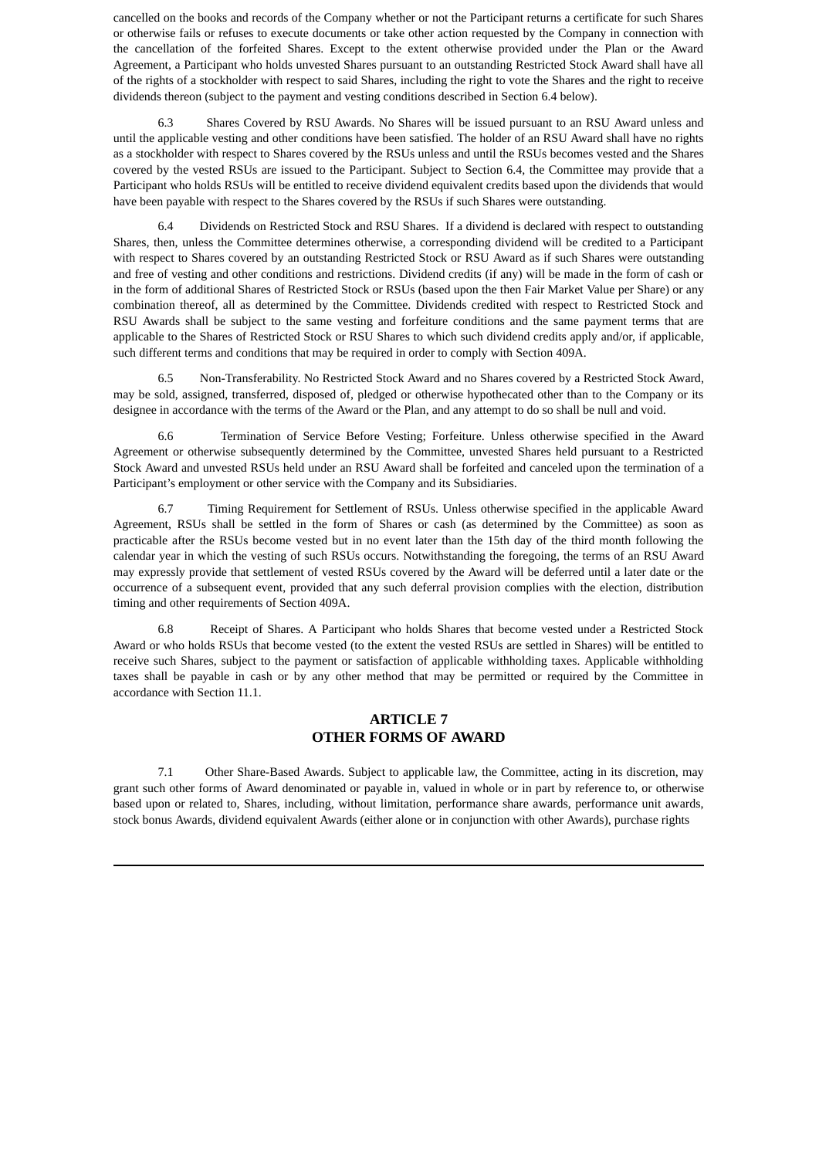cancelled on the books and records of the Company whether or not the Participant returns a certificate for such Shares or otherwise fails or refuses to execute documents or take other action requested by the Company in connection with the cancellation of the forfeited Shares. Except to the extent otherwise provided under the Plan or the Award Agreement, a Participant who holds unvested Shares pursuant to an outstanding Restricted Stock Award shall have all of the rights of a stockholder with respect to said Shares, including the right to vote the Shares and the right to receive dividends thereon (subject to the payment and vesting conditions described in Section 6.4 below).

6.3 Shares Covered by RSU Awards. No Shares will be issued pursuant to an RSU Award unless and until the applicable vesting and other conditions have been satisfied. The holder of an RSU Award shall have no rights as a stockholder with respect to Shares covered by the RSUs unless and until the RSUs becomes vested and the Shares covered by the vested RSUs are issued to the Participant. Subject to Section 6.4, the Committee may provide that a Participant who holds RSUs will be entitled to receive dividend equivalent credits based upon the dividends that would have been payable with respect to the Shares covered by the RSUs if such Shares were outstanding.

6.4 Dividends on Restricted Stock and RSU Shares. If a dividend is declared with respect to outstanding Shares, then, unless the Committee determines otherwise, a corresponding dividend will be credited to a Participant with respect to Shares covered by an outstanding Restricted Stock or RSU Award as if such Shares were outstanding and free of vesting and other conditions and restrictions. Dividend credits (if any) will be made in the form of cash or in the form of additional Shares of Restricted Stock or RSUs (based upon the then Fair Market Value per Share) or any combination thereof, all as determined by the Committee. Dividends credited with respect to Restricted Stock and RSU Awards shall be subject to the same vesting and forfeiture conditions and the same payment terms that are applicable to the Shares of Restricted Stock or RSU Shares to which such dividend credits apply and/or, if applicable, such different terms and conditions that may be required in order to comply with Section 409A.

6.5 Non-Transferability. No Restricted Stock Award and no Shares covered by a Restricted Stock Award, may be sold, assigned, transferred, disposed of, pledged or otherwise hypothecated other than to the Company or its designee in accordance with the terms of the Award or the Plan, and any attempt to do so shall be null and void.

6.6 Termination of Service Before Vesting; Forfeiture. Unless otherwise specified in the Award Agreement or otherwise subsequently determined by the Committee, unvested Shares held pursuant to a Restricted Stock Award and unvested RSUs held under an RSU Award shall be forfeited and canceled upon the termination of a Participant's employment or other service with the Company and its Subsidiaries.

6.7 Timing Requirement for Settlement of RSUs. Unless otherwise specified in the applicable Award Agreement, RSUs shall be settled in the form of Shares or cash (as determined by the Committee) as soon as practicable after the RSUs become vested but in no event later than the 15th day of the third month following the calendar year in which the vesting of such RSUs occurs. Notwithstanding the foregoing, the terms of an RSU Award may expressly provide that settlement of vested RSUs covered by the Award will be deferred until a later date or the occurrence of a subsequent event, provided that any such deferral provision complies with the election, distribution timing and other requirements of Section 409A.

6.8 Receipt of Shares. A Participant who holds Shares that become vested under a Restricted Stock Award or who holds RSUs that become vested (to the extent the vested RSUs are settled in Shares) will be entitled to receive such Shares, subject to the payment or satisfaction of applicable withholding taxes. Applicable withholding taxes shall be payable in cash or by any other method that may be permitted or required by the Committee in accordance with Section 11.1.

#### **ARTICLE 7 OTHER FORMS OF AWARD**

7.1 Other Share-Based Awards. Subject to applicable law, the Committee, acting in its discretion, may grant such other forms of Award denominated or payable in, valued in whole or in part by reference to, or otherwise based upon or related to, Shares, including, without limitation, performance share awards, performance unit awards, stock bonus Awards, dividend equivalent Awards (either alone or in conjunction with other Awards), purchase rights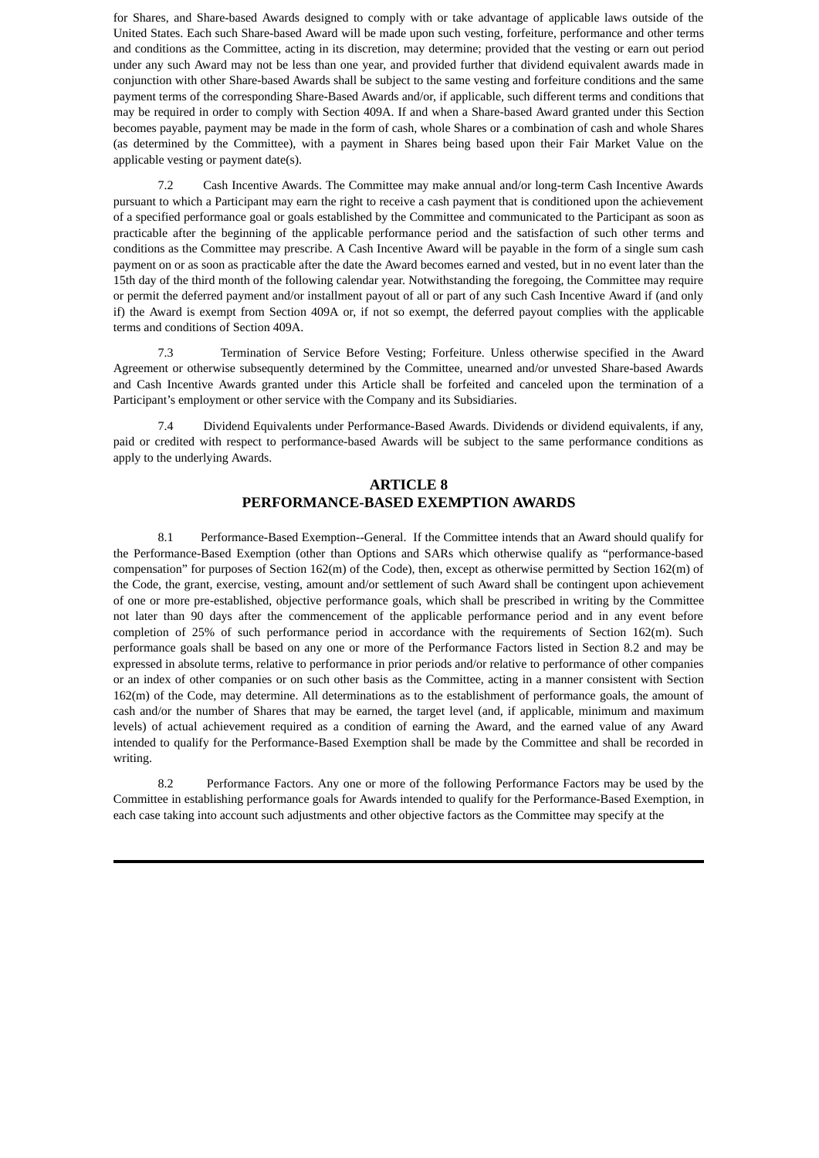for Shares, and Share-based Awards designed to comply with or take advantage of applicable laws outside of the United States. Each such Share-based Award will be made upon such vesting, forfeiture, performance and other terms and conditions as the Committee, acting in its discretion, may determine; provided that the vesting or earn out period under any such Award may not be less than one year, and provided further that dividend equivalent awards made in conjunction with other Share-based Awards shall be subject to the same vesting and forfeiture conditions and the same payment terms of the corresponding Share-Based Awards and/or, if applicable, such different terms and conditions that may be required in order to comply with Section 409A. If and when a Share-based Award granted under this Section becomes payable, payment may be made in the form of cash, whole Shares or a combination of cash and whole Shares (as determined by the Committee), with a payment in Shares being based upon their Fair Market Value on the applicable vesting or payment date(s).

7.2 Cash Incentive Awards. The Committee may make annual and/or long-term Cash Incentive Awards pursuant to which a Participant may earn the right to receive a cash payment that is conditioned upon the achievement of a specified performance goal or goals established by the Committee and communicated to the Participant as soon as practicable after the beginning of the applicable performance period and the satisfaction of such other terms and conditions as the Committee may prescribe. A Cash Incentive Award will be payable in the form of a single sum cash payment on or as soon as practicable after the date the Award becomes earned and vested, but in no event later than the 15th day of the third month of the following calendar year. Notwithstanding the foregoing, the Committee may require or permit the deferred payment and/or installment payout of all or part of any such Cash Incentive Award if (and only if) the Award is exempt from Section 409A or, if not so exempt, the deferred payout complies with the applicable terms and conditions of Section 409A.

7.3 Termination of Service Before Vesting; Forfeiture. Unless otherwise specified in the Award Agreement or otherwise subsequently determined by the Committee, unearned and/or unvested Share-based Awards and Cash Incentive Awards granted under this Article shall be forfeited and canceled upon the termination of a Participant's employment or other service with the Company and its Subsidiaries.

7.4 Dividend Equivalents under Performance-Based Awards. Dividends or dividend equivalents, if any, paid or credited with respect to performance-based Awards will be subject to the same performance conditions as apply to the underlying Awards.

#### **ARTICLE 8 PERFORMANCE-BASED EXEMPTION AWARDS**

8.1 Performance-Based Exemption--General. If the Committee intends that an Award should qualify for the Performance-Based Exemption (other than Options and SARs which otherwise qualify as "performance-based compensation" for purposes of Section 162(m) of the Code), then, except as otherwise permitted by Section 162(m) of the Code, the grant, exercise, vesting, amount and/or settlement of such Award shall be contingent upon achievement of one or more pre-established, objective performance goals, which shall be prescribed in writing by the Committee not later than 90 days after the commencement of the applicable performance period and in any event before completion of 25% of such performance period in accordance with the requirements of Section 162(m). Such performance goals shall be based on any one or more of the Performance Factors listed in Section 8.2 and may be expressed in absolute terms, relative to performance in prior periods and/or relative to performance of other companies or an index of other companies or on such other basis as the Committee, acting in a manner consistent with Section 162(m) of the Code, may determine. All determinations as to the establishment of performance goals, the amount of cash and/or the number of Shares that may be earned, the target level (and, if applicable, minimum and maximum levels) of actual achievement required as a condition of earning the Award, and the earned value of any Award intended to qualify for the Performance-Based Exemption shall be made by the Committee and shall be recorded in writing.

8.2 Performance Factors. Any one or more of the following Performance Factors may be used by the Committee in establishing performance goals for Awards intended to qualify for the Performance-Based Exemption, in each case taking into account such adjustments and other objective factors as the Committee may specify at the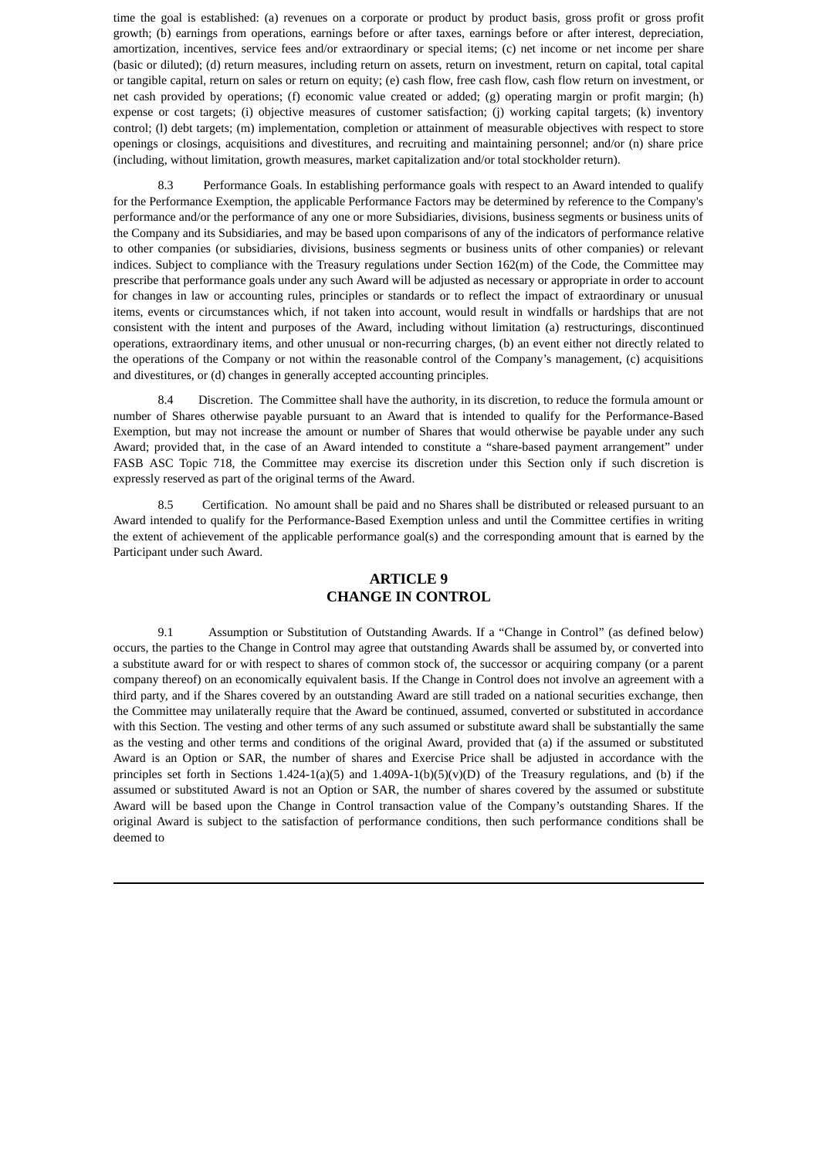time the goal is established: (a) revenues on a corporate or product by product basis, gross profit or gross profit growth; (b) earnings from operations, earnings before or after taxes, earnings before or after interest, depreciation, amortization, incentives, service fees and/or extraordinary or special items; (c) net income or net income per share (basic or diluted); (d) return measures, including return on assets, return on investment, return on capital, total capital or tangible capital, return on sales or return on equity; (e) cash flow, free cash flow, cash flow return on investment, or net cash provided by operations; (f) economic value created or added; (g) operating margin or profit margin; (h) expense or cost targets; (i) objective measures of customer satisfaction; (j) working capital targets; (k) inventory control; (l) debt targets; (m) implementation, completion or attainment of measurable objectives with respect to store openings or closings, acquisitions and divestitures, and recruiting and maintaining personnel; and/or (n) share price (including, without limitation, growth measures, market capitalization and/or total stockholder return).

8.3 Performance Goals. In establishing performance goals with respect to an Award intended to qualify for the Performance Exemption, the applicable Performance Factors may be determined by reference to the Company's performance and/or the performance of any one or more Subsidiaries, divisions, business segments or business units of the Company and its Subsidiaries, and may be based upon comparisons of any of the indicators of performance relative to other companies (or subsidiaries, divisions, business segments or business units of other companies) or relevant indices. Subject to compliance with the Treasury regulations under Section 162(m) of the Code, the Committee may prescribe that performance goals under any such Award will be adjusted as necessary or appropriate in order to account for changes in law or accounting rules, principles or standards or to reflect the impact of extraordinary or unusual items, events or circumstances which, if not taken into account, would result in windfalls or hardships that are not consistent with the intent and purposes of the Award, including without limitation (a) restructurings, discontinued operations, extraordinary items, and other unusual or non-recurring charges, (b) an event either not directly related to the operations of the Company or not within the reasonable control of the Company's management, (c) acquisitions and divestitures, or (d) changes in generally accepted accounting principles.

8.4 Discretion. The Committee shall have the authority, in its discretion, to reduce the formula amount or number of Shares otherwise payable pursuant to an Award that is intended to qualify for the Performance-Based Exemption, but may not increase the amount or number of Shares that would otherwise be payable under any such Award; provided that, in the case of an Award intended to constitute a "share-based payment arrangement" under FASB ASC Topic 718, the Committee may exercise its discretion under this Section only if such discretion is expressly reserved as part of the original terms of the Award.

8.5 Certification. No amount shall be paid and no Shares shall be distributed or released pursuant to an Award intended to qualify for the Performance-Based Exemption unless and until the Committee certifies in writing the extent of achievement of the applicable performance goal(s) and the corresponding amount that is earned by the Participant under such Award.

# **ARTICLE 9 CHANGE IN CONTROL**

9.1 Assumption or Substitution of Outstanding Awards. If a "Change in Control" (as defined below) occurs, the parties to the Change in Control may agree that outstanding Awards shall be assumed by, or converted into a substitute award for or with respect to shares of common stock of, the successor or acquiring company (or a parent company thereof) on an economically equivalent basis. If the Change in Control does not involve an agreement with a third party, and if the Shares covered by an outstanding Award are still traded on a national securities exchange, then the Committee may unilaterally require that the Award be continued, assumed, converted or substituted in accordance with this Section. The vesting and other terms of any such assumed or substitute award shall be substantially the same as the vesting and other terms and conditions of the original Award, provided that (a) if the assumed or substituted Award is an Option or SAR, the number of shares and Exercise Price shall be adjusted in accordance with the principles set forth in Sections  $1.424-1(a)(5)$  and  $1.409A-1(b)(5)(v)(D)$  of the Treasury regulations, and (b) if the assumed or substituted Award is not an Option or SAR, the number of shares covered by the assumed or substitute Award will be based upon the Change in Control transaction value of the Company's outstanding Shares. If the original Award is subject to the satisfaction of performance conditions, then such performance conditions shall be deemed to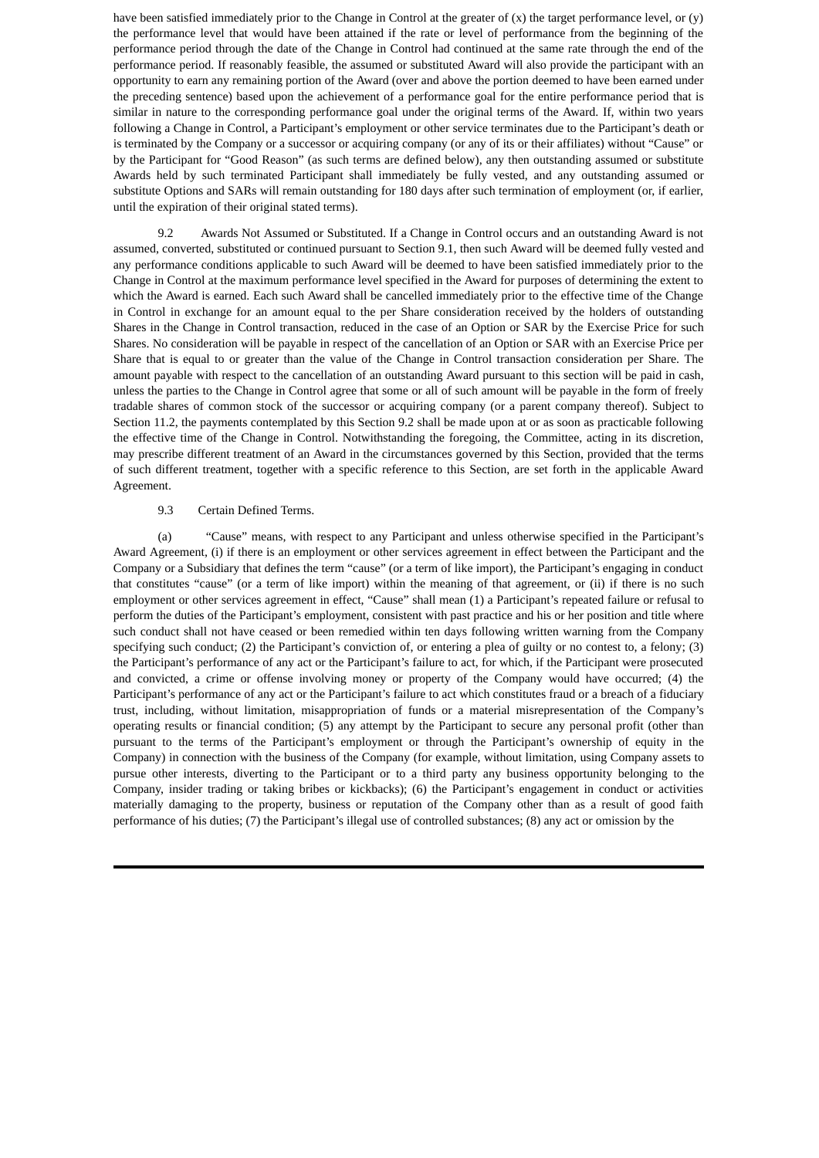have been satisfied immediately prior to the Change in Control at the greater of  $(x)$  the target performance level, or  $(y)$ the performance level that would have been attained if the rate or level of performance from the beginning of the performance period through the date of the Change in Control had continued at the same rate through the end of the performance period. If reasonably feasible, the assumed or substituted Award will also provide the participant with an opportunity to earn any remaining portion of the Award (over and above the portion deemed to have been earned under the preceding sentence) based upon the achievement of a performance goal for the entire performance period that is similar in nature to the corresponding performance goal under the original terms of the Award. If, within two years following a Change in Control, a Participant's employment or other service terminates due to the Participant's death or is terminated by the Company or a successor or acquiring company (or any of its or their affiliates) without "Cause" or by the Participant for "Good Reason" (as such terms are defined below), any then outstanding assumed or substitute Awards held by such terminated Participant shall immediately be fully vested, and any outstanding assumed or substitute Options and SARs will remain outstanding for 180 days after such termination of employment (or, if earlier, until the expiration of their original stated terms).

9.2 Awards Not Assumed or Substituted. If a Change in Control occurs and an outstanding Award is not assumed, converted, substituted or continued pursuant to Section 9.1, then such Award will be deemed fully vested and any performance conditions applicable to such Award will be deemed to have been satisfied immediately prior to the Change in Control at the maximum performance level specified in the Award for purposes of determining the extent to which the Award is earned. Each such Award shall be cancelled immediately prior to the effective time of the Change in Control in exchange for an amount equal to the per Share consideration received by the holders of outstanding Shares in the Change in Control transaction, reduced in the case of an Option or SAR by the Exercise Price for such Shares. No consideration will be payable in respect of the cancellation of an Option or SAR with an Exercise Price per Share that is equal to or greater than the value of the Change in Control transaction consideration per Share. The amount payable with respect to the cancellation of an outstanding Award pursuant to this section will be paid in cash, unless the parties to the Change in Control agree that some or all of such amount will be payable in the form of freely tradable shares of common stock of the successor or acquiring company (or a parent company thereof). Subject to Section 11.2, the payments contemplated by this Section 9.2 shall be made upon at or as soon as practicable following the effective time of the Change in Control. Notwithstanding the foregoing, the Committee, acting in its discretion, may prescribe different treatment of an Award in the circumstances governed by this Section, provided that the terms of such different treatment, together with a specific reference to this Section, are set forth in the applicable Award Agreement.

#### 9.3 Certain Defined Terms.

(a) "Cause" means, with respect to any Participant and unless otherwise specified in the Participant's Award Agreement, (i) if there is an employment or other services agreement in effect between the Participant and the Company or a Subsidiary that defines the term "cause" (or a term of like import), the Participant's engaging in conduct that constitutes "cause" (or a term of like import) within the meaning of that agreement, or (ii) if there is no such employment or other services agreement in effect, "Cause" shall mean (1) a Participant's repeated failure or refusal to perform the duties of the Participant's employment, consistent with past practice and his or her position and title where such conduct shall not have ceased or been remedied within ten days following written warning from the Company specifying such conduct; (2) the Participant's conviction of, or entering a plea of guilty or no contest to, a felony; (3) the Participant's performance of any act or the Participant's failure to act, for which, if the Participant were prosecuted and convicted, a crime or offense involving money or property of the Company would have occurred; (4) the Participant's performance of any act or the Participant's failure to act which constitutes fraud or a breach of a fiduciary trust, including, without limitation, misappropriation of funds or a material misrepresentation of the Company's operating results or financial condition; (5) any attempt by the Participant to secure any personal profit (other than pursuant to the terms of the Participant's employment or through the Participant's ownership of equity in the Company) in connection with the business of the Company (for example, without limitation, using Company assets to pursue other interests, diverting to the Participant or to a third party any business opportunity belonging to the Company, insider trading or taking bribes or kickbacks); (6) the Participant's engagement in conduct or activities materially damaging to the property, business or reputation of the Company other than as a result of good faith performance of his duties; (7) the Participant's illegal use of controlled substances; (8) any act or omission by the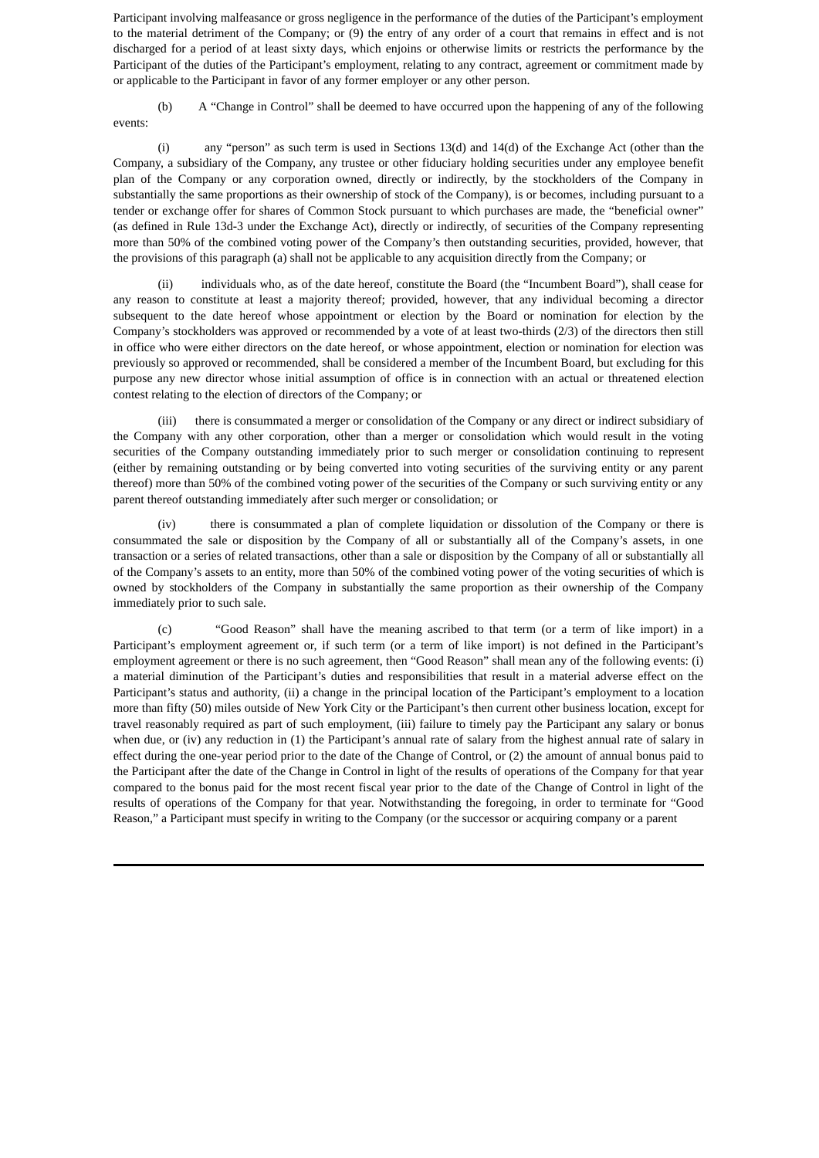Participant involving malfeasance or gross negligence in the performance of the duties of the Participant's employment to the material detriment of the Company; or (9) the entry of any order of a court that remains in effect and is not discharged for a period of at least sixty days, which enjoins or otherwise limits or restricts the performance by the Participant of the duties of the Participant's employment, relating to any contract, agreement or commitment made by or applicable to the Participant in favor of any former employer or any other person.

(b) A "Change in Control" shall be deemed to have occurred upon the happening of any of the following events:

(i) any "person" as such term is used in Sections 13(d) and 14(d) of the Exchange Act (other than the Company, a subsidiary of the Company, any trustee or other fiduciary holding securities under any employee benefit plan of the Company or any corporation owned, directly or indirectly, by the stockholders of the Company in substantially the same proportions as their ownership of stock of the Company), is or becomes, including pursuant to a tender or exchange offer for shares of Common Stock pursuant to which purchases are made, the "beneficial owner" (as defined in Rule 13d-3 under the Exchange Act), directly or indirectly, of securities of the Company representing more than 50% of the combined voting power of the Company's then outstanding securities, provided, however, that the provisions of this paragraph (a) shall not be applicable to any acquisition directly from the Company; or

(ii) individuals who, as of the date hereof, constitute the Board (the "Incumbent Board"), shall cease for any reason to constitute at least a majority thereof; provided, however, that any individual becoming a director subsequent to the date hereof whose appointment or election by the Board or nomination for election by the Company's stockholders was approved or recommended by a vote of at least two-thirds (2/3) of the directors then still in office who were either directors on the date hereof, or whose appointment, election or nomination for election was previously so approved or recommended, shall be considered a member of the Incumbent Board, but excluding for this purpose any new director whose initial assumption of office is in connection with an actual or threatened election contest relating to the election of directors of the Company; or

(iii) there is consummated a merger or consolidation of the Company or any direct or indirect subsidiary of the Company with any other corporation, other than a merger or consolidation which would result in the voting securities of the Company outstanding immediately prior to such merger or consolidation continuing to represent (either by remaining outstanding or by being converted into voting securities of the surviving entity or any parent thereof) more than 50% of the combined voting power of the securities of the Company or such surviving entity or any parent thereof outstanding immediately after such merger or consolidation; or

(iv) there is consummated a plan of complete liquidation or dissolution of the Company or there is consummated the sale or disposition by the Company of all or substantially all of the Company's assets, in one transaction or a series of related transactions, other than a sale or disposition by the Company of all or substantially all of the Company's assets to an entity, more than 50% of the combined voting power of the voting securities of which is owned by stockholders of the Company in substantially the same proportion as their ownership of the Company immediately prior to such sale.

(c) "Good Reason" shall have the meaning ascribed to that term (or a term of like import) in a Participant's employment agreement or, if such term (or a term of like import) is not defined in the Participant's employment agreement or there is no such agreement, then "Good Reason" shall mean any of the following events: (i) a material diminution of the Participant's duties and responsibilities that result in a material adverse effect on the Participant's status and authority, (ii) a change in the principal location of the Participant's employment to a location more than fifty (50) miles outside of New York City or the Participant's then current other business location, except for travel reasonably required as part of such employment, (iii) failure to timely pay the Participant any salary or bonus when due, or (iv) any reduction in (1) the Participant's annual rate of salary from the highest annual rate of salary in effect during the one-year period prior to the date of the Change of Control, or (2) the amount of annual bonus paid to the Participant after the date of the Change in Control in light of the results of operations of the Company for that year compared to the bonus paid for the most recent fiscal year prior to the date of the Change of Control in light of the results of operations of the Company for that year. Notwithstanding the foregoing, in order to terminate for "Good Reason," a Participant must specify in writing to the Company (or the successor or acquiring company or a parent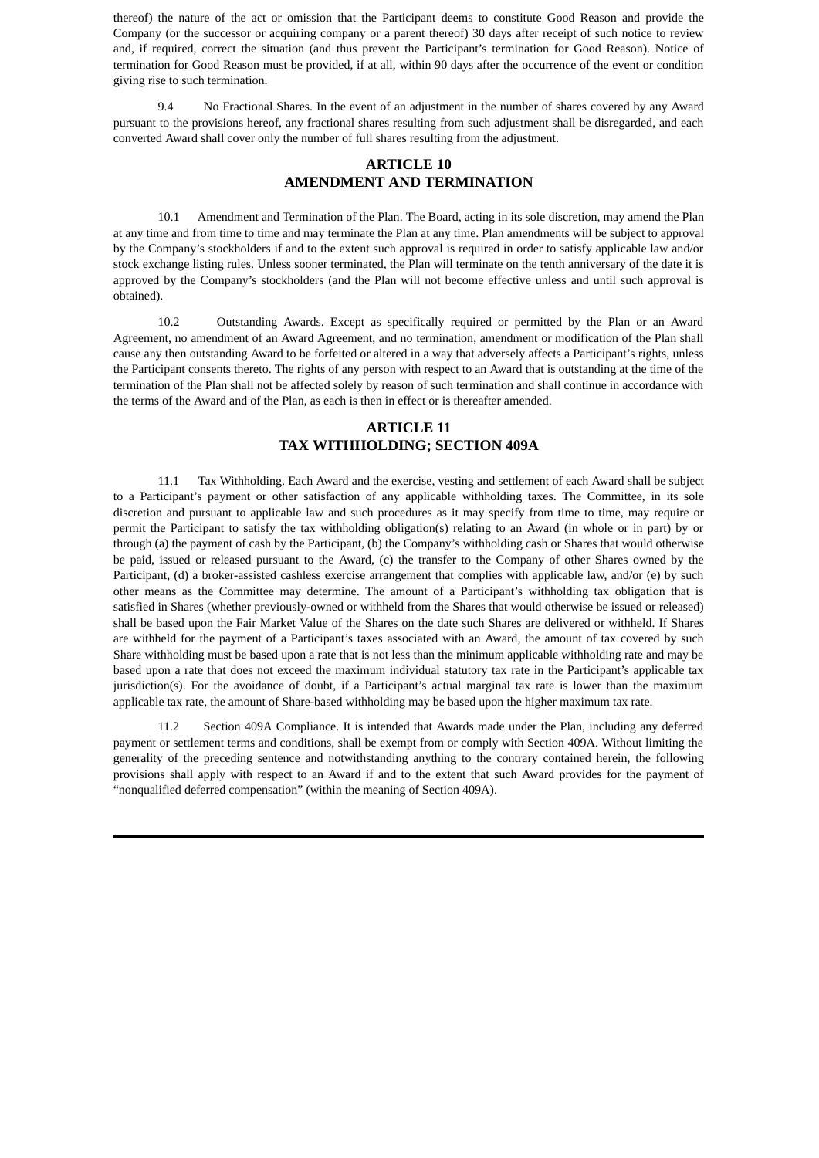thereof) the nature of the act or omission that the Participant deems to constitute Good Reason and provide the Company (or the successor or acquiring company or a parent thereof) 30 days after receipt of such notice to review and, if required, correct the situation (and thus prevent the Participant's termination for Good Reason). Notice of termination for Good Reason must be provided, if at all, within 90 days after the occurrence of the event or condition giving rise to such termination.

9.4 No Fractional Shares. In the event of an adjustment in the number of shares covered by any Award pursuant to the provisions hereof, any fractional shares resulting from such adjustment shall be disregarded, and each converted Award shall cover only the number of full shares resulting from the adjustment.

### **ARTICLE 10 AMENDMENT AND TERMINATION**

10.1 Amendment and Termination of the Plan. The Board, acting in its sole discretion, may amend the Plan at any time and from time to time and may terminate the Plan at any time. Plan amendments will be subject to approval by the Company's stockholders if and to the extent such approval is required in order to satisfy applicable law and/or stock exchange listing rules. Unless sooner terminated, the Plan will terminate on the tenth anniversary of the date it is approved by the Company's stockholders (and the Plan will not become effective unless and until such approval is obtained).

10.2 Outstanding Awards. Except as specifically required or permitted by the Plan or an Award Agreement, no amendment of an Award Agreement, and no termination, amendment or modification of the Plan shall cause any then outstanding Award to be forfeited or altered in a way that adversely affects a Participant's rights, unless the Participant consents thereto. The rights of any person with respect to an Award that is outstanding at the time of the termination of the Plan shall not be affected solely by reason of such termination and shall continue in accordance with the terms of the Award and of the Plan, as each is then in effect or is thereafter amended.

### **ARTICLE 11 TAX WITHHOLDING; SECTION 409A**

11.1 Tax Withholding. Each Award and the exercise, vesting and settlement of each Award shall be subject to a Participant's payment or other satisfaction of any applicable withholding taxes. The Committee, in its sole discretion and pursuant to applicable law and such procedures as it may specify from time to time, may require or permit the Participant to satisfy the tax withholding obligation(s) relating to an Award (in whole or in part) by or through (a) the payment of cash by the Participant, (b) the Company's withholding cash or Shares that would otherwise be paid, issued or released pursuant to the Award, (c) the transfer to the Company of other Shares owned by the Participant, (d) a broker-assisted cashless exercise arrangement that complies with applicable law, and/or (e) by such other means as the Committee may determine. The amount of a Participant's withholding tax obligation that is satisfied in Shares (whether previously-owned or withheld from the Shares that would otherwise be issued or released) shall be based upon the Fair Market Value of the Shares on the date such Shares are delivered or withheld. If Shares are withheld for the payment of a Participant's taxes associated with an Award, the amount of tax covered by such Share withholding must be based upon a rate that is not less than the minimum applicable withholding rate and may be based upon a rate that does not exceed the maximum individual statutory tax rate in the Participant's applicable tax jurisdiction(s). For the avoidance of doubt, if a Participant's actual marginal tax rate is lower than the maximum applicable tax rate, the amount of Share-based withholding may be based upon the higher maximum tax rate.

11.2 Section 409A Compliance. It is intended that Awards made under the Plan, including any deferred payment or settlement terms and conditions, shall be exempt from or comply with Section 409A. Without limiting the generality of the preceding sentence and notwithstanding anything to the contrary contained herein, the following provisions shall apply with respect to an Award if and to the extent that such Award provides for the payment of "nonqualified deferred compensation" (within the meaning of Section 409A).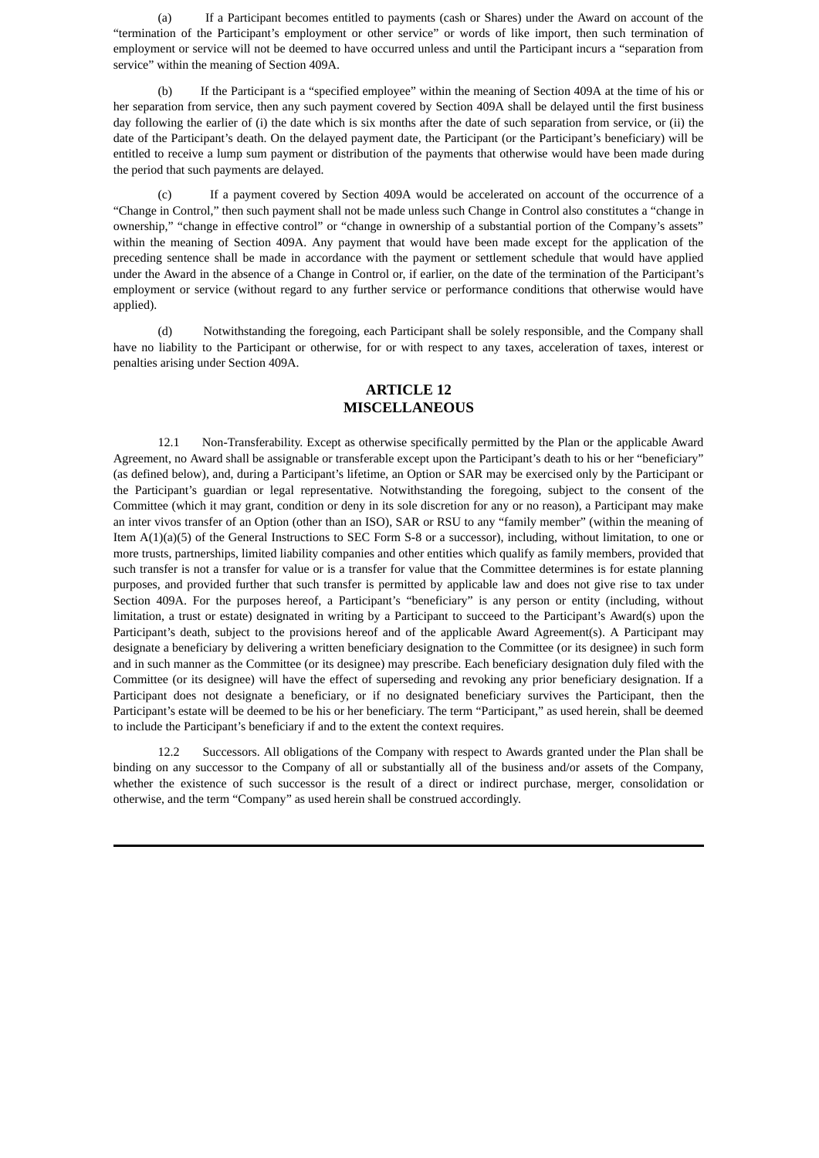(a) If a Participant becomes entitled to payments (cash or Shares) under the Award on account of the "termination of the Participant's employment or other service" or words of like import, then such termination of employment or service will not be deemed to have occurred unless and until the Participant incurs a "separation from service" within the meaning of Section 409A.

(b) If the Participant is a "specified employee" within the meaning of Section 409A at the time of his or her separation from service, then any such payment covered by Section 409A shall be delayed until the first business day following the earlier of (i) the date which is six months after the date of such separation from service, or (ii) the date of the Participant's death. On the delayed payment date, the Participant (or the Participant's beneficiary) will be entitled to receive a lump sum payment or distribution of the payments that otherwise would have been made during the period that such payments are delayed.

(c) If a payment covered by Section 409A would be accelerated on account of the occurrence of a "Change in Control," then such payment shall not be made unless such Change in Control also constitutes a "change in ownership," "change in effective control" or "change in ownership of a substantial portion of the Company's assets" within the meaning of Section 409A. Any payment that would have been made except for the application of the preceding sentence shall be made in accordance with the payment or settlement schedule that would have applied under the Award in the absence of a Change in Control or, if earlier, on the date of the termination of the Participant's employment or service (without regard to any further service or performance conditions that otherwise would have applied).

(d) Notwithstanding the foregoing, each Participant shall be solely responsible, and the Company shall have no liability to the Participant or otherwise, for or with respect to any taxes, acceleration of taxes, interest or penalties arising under Section 409A.

# **ARTICLE 12 MISCELLANEOUS**

12.1 Non-Transferability. Except as otherwise specifically permitted by the Plan or the applicable Award Agreement, no Award shall be assignable or transferable except upon the Participant's death to his or her "beneficiary" (as defined below), and, during a Participant's lifetime, an Option or SAR may be exercised only by the Participant or the Participant's guardian or legal representative. Notwithstanding the foregoing, subject to the consent of the Committee (which it may grant, condition or deny in its sole discretion for any or no reason), a Participant may make an inter vivos transfer of an Option (other than an ISO), SAR or RSU to any "family member" (within the meaning of Item A(1)(a)(5) of the General Instructions to SEC Form S-8 or a successor), including, without limitation, to one or more trusts, partnerships, limited liability companies and other entities which qualify as family members, provided that such transfer is not a transfer for value or is a transfer for value that the Committee determines is for estate planning purposes, and provided further that such transfer is permitted by applicable law and does not give rise to tax under Section 409A. For the purposes hereof, a Participant's "beneficiary" is any person or entity (including, without limitation, a trust or estate) designated in writing by a Participant to succeed to the Participant's Award(s) upon the Participant's death, subject to the provisions hereof and of the applicable Award Agreement(s). A Participant may designate a beneficiary by delivering a written beneficiary designation to the Committee (or its designee) in such form and in such manner as the Committee (or its designee) may prescribe. Each beneficiary designation duly filed with the Committee (or its designee) will have the effect of superseding and revoking any prior beneficiary designation. If a Participant does not designate a beneficiary, or if no designated beneficiary survives the Participant, then the Participant's estate will be deemed to be his or her beneficiary. The term "Participant," as used herein, shall be deemed to include the Participant's beneficiary if and to the extent the context requires.

12.2 Successors. All obligations of the Company with respect to Awards granted under the Plan shall be binding on any successor to the Company of all or substantially all of the business and/or assets of the Company, whether the existence of such successor is the result of a direct or indirect purchase, merger, consolidation or otherwise, and the term "Company" as used herein shall be construed accordingly.